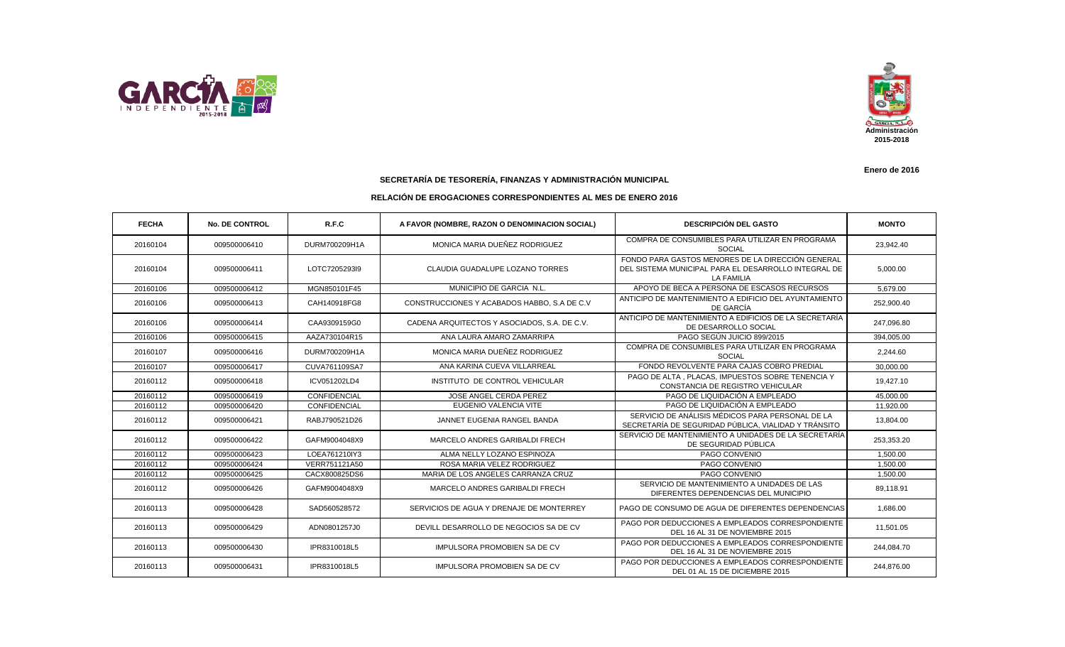



**SECRETARÍA DE TESORERÍA, FINANZAS Y ADMINISTRACIÓN MUNICIPAL**

## **RELACIÓN DE EROGACIONES CORRESPONDIENTES AL MES DE ENERO 2016**

| <b>FECHA</b> | <b>No. DE CONTROL</b> | R.F.C         | A FAVOR (NOMBRE, RAZON O DENOMINACION SOCIAL) | <b>DESCRIPCIÓN DEL GASTO</b>                                                                                                   | <b>MONTO</b> |
|--------------|-----------------------|---------------|-----------------------------------------------|--------------------------------------------------------------------------------------------------------------------------------|--------------|
| 20160104     | 009500006410          | DURM700209H1A | MONICA MARIA DUEÑEZ RODRIGUEZ                 | COMPRA DE CONSUMIBLES PARA UTILIZAR EN PROGRAMA<br><b>SOCIAL</b>                                                               | 23,942.40    |
| 20160104     | 009500006411          | LOTC7205293l9 | CLAUDIA GUADALUPE LOZANO TORRES               | FONDO PARA GASTOS MENORES DE LA DIRECCIÓN GENERAL<br>DEL SISTEMA MUNICIPAL PARA EL DESARROLLO INTEGRAL DE<br><b>LA FAMILIA</b> | 5,000.00     |
| 20160106     | 009500006412          | MGN850101F45  | MUNICIPIO DE GARCIA N.L.                      | APOYO DE BECA A PERSONA DE ESCASOS RECURSOS                                                                                    | 5,679.00     |
| 20160106     | 009500006413          | CAH140918FG8  | CONSTRUCCIONES Y ACABADOS HABBO, S.A DE C.V.  | ANTICIPO DE MANTENIMIENTO A EDIFICIO DEL AYUNTAMIENTO<br>DE GARCÍA                                                             | 252,900.40   |
| 20160106     | 009500006414          | CAA9309159G0  | CADENA ARQUITECTOS Y ASOCIADOS, S.A. DE C.V.  | ANTICIPO DE MANTENIMIENTO A EDIFICIOS DE LA SECRETARÍA<br>DE DESARROLLO SOCIAL                                                 | 247,096.80   |
| 20160106     | 009500006415          | AAZA730104R15 | ANA LAURA AMARO ZAMARRIPA                     | PAGO SEGÚN JUICIO 899/2015                                                                                                     | 394,005.00   |
| 20160107     | 009500006416          | DURM700209H1A | MONICA MARIA DUEÑEZ RODRIGUEZ                 | COMPRA DE CONSUMIBLES PARA UTILIZAR EN PROGRAMA<br><b>SOCIAL</b>                                                               | 2,244.60     |
| 20160107     | 009500006417          | CUVA761109SA7 | ANA KARINA CUEVA VILLARREAL                   | FONDO REVOLVENTE PARA CAJAS COBRO PREDIAL                                                                                      | 30,000.00    |
| 20160112     | 009500006418          | ICV051202LD4  | INSTITUTO DE CONTROL VEHICULAR                | PAGO DE ALTA . PLACAS. IMPUESTOS SOBRE TENENCIA Y<br>CONSTANCIA DE REGISTRO VEHICULAR                                          | 19,427.10    |
| 20160112     | 009500006419          | CONFIDENCIAL  | JOSE ANGEL CERDA PEREZ                        | PAGO DE LIQUIDACIÓN A EMPLEADO                                                                                                 | 45,000.00    |
| 20160112     | 009500006420          | CONFIDENCIAL  | EUGENIO VALENCIA VITE                         | PAGO DE LIQUIDACIÓN A EMPLEADO                                                                                                 | 11,920.00    |
| 20160112     | 009500006421          | RABJ790521D26 | JANNET EUGENIA RANGEL BANDA                   | SERVICIO DE ANÁLISIS MÉDICOS PARA PERSONAL DE LA<br>SECRETARÍA DE SEGURIDAD PÚBLICA. VIALIDAD Y TRÁNSITO                       | 13,804.00    |
| 20160112     | 009500006422          | GAFM9004048X9 | MARCELO ANDRES GARIBALDI FRECH                | SERVICIO DE MANTENIMIENTO A UNIDADES DE LA SECRETARÍA<br>DE SEGURIDAD PÚBLICA                                                  | 253,353.20   |
| 20160112     | 009500006423          | LOEA761210IY3 | ALMA NELLY LOZANO ESPINOZA                    | PAGO CONVENIO                                                                                                                  | 1,500.00     |
| 20160112     | 009500006424          | VERR751121A50 | ROSA MARIA VELEZ RODRIGUEZ                    | PAGO CONVENIO                                                                                                                  | 1,500.00     |
| 20160112     | 009500006425          | CACX800825DS6 | MARIA DE LOS ANGELES CARRANZA CRUZ            | PAGO CONVENIO                                                                                                                  | 1,500.00     |
| 20160112     | 009500006426          | GAFM9004048X9 | MARCELO ANDRES GARIBALDI FRECH                | SERVICIO DE MANTENIMIENTO A UNIDADES DE LAS<br>DIFERENTES DEPENDENCIAS DEL MUNICIPIO                                           | 89.118.91    |
| 20160113     | 009500006428          | SAD560528572  | SERVICIOS DE AGUA Y DRENAJE DE MONTERREY      | PAGO DE CONSUMO DE AGUA DE DIFERENTES DEPENDENCIAS                                                                             | 1,686.00     |
| 20160113     | 009500006429          | ADN0801257J0  | DEVILL DESARROLLO DE NEGOCIOS SA DE CV        | PAGO POR DEDUCCIONES A EMPLEADOS CORRESPONDIENTE<br>DEL 16 AL 31 DE NOVIEMBRE 2015                                             | 11,501.05    |
| 20160113     | 009500006430          | IPR8310018L5  | <b>IMPULSORA PROMOBIEN SA DE CV</b>           | PAGO POR DEDUCCIONES A EMPLEADOS CORRESPONDIENTE<br>DEL 16 AL 31 DE NOVIEMBRE 2015                                             | 244,084.70   |
| 20160113     | 009500006431          | IPR8310018L5  | <b>IMPULSORA PROMOBIEN SA DE CV</b>           | PAGO POR DEDUCCIONES A EMPLEADOS CORRESPONDIENTE<br>DEL 01 AL 15 DE DICIEMBRE 2015                                             | 244,876.00   |

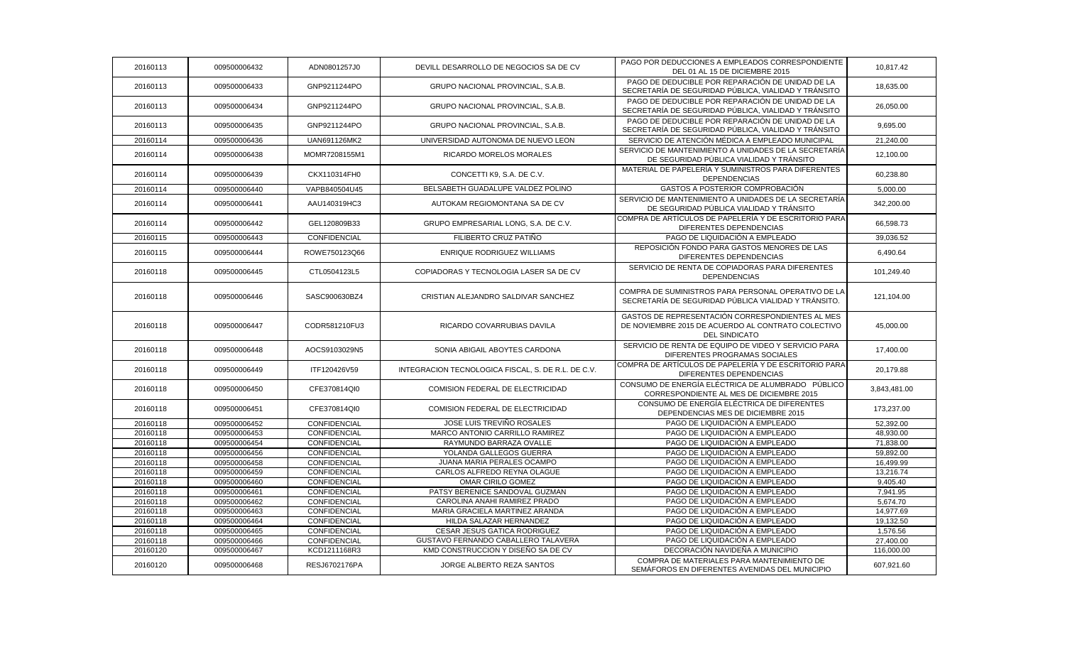| 20160113 | 009500006432 | ADN0801257J0  | DEVILL DESARROLLO DE NEGOCIOS SA DE CV             | PAGO POR DEDUCCIONES A EMPLEADOS CORRESPONDIENTE<br>DEL 01 AL 15 DE DICIEMBRE 2015                                             | 10,817.42    |
|----------|--------------|---------------|----------------------------------------------------|--------------------------------------------------------------------------------------------------------------------------------|--------------|
| 20160113 | 009500006433 | GNP9211244PO  | GRUPO NACIONAL PROVINCIAL, S.A.B.                  | PAGO DE DEDUCIBLE POR REPARACIÓN DE UNIDAD DE LA<br>SECRETARÍA DE SEGURIDAD PÚBLICA, VIALIDAD Y TRÁNSITO                       | 18,635.00    |
| 20160113 | 009500006434 | GNP9211244PO  | GRUPO NACIONAL PROVINCIAL, S.A.B.                  | PAGO DE DEDUCIBLE POR REPARACIÓN DE UNIDAD DE LA<br>SECRETARÍA DE SEGURIDAD PÚBLICA, VIALIDAD Y TRÁNSITO                       | 26,050.00    |
| 20160113 | 009500006435 | GNP9211244PO  | GRUPO NACIONAL PROVINCIAL, S.A.B.                  | PAGO DE DEDUCIBLE POR REPARACIÓN DE UNIDAD DE LA<br>SECRETARÍA DE SEGURIDAD PÚBLICA, VIALIDAD Y TRÁNSITO                       | 9,695.00     |
| 20160114 | 009500006436 | UAN691126MK2  | UNIVERSIDAD AUTONOMA DE NUEVO LEON                 | SERVICIO DE ATENCIÓN MÉDICA A EMPLEADO MUNICIPAL                                                                               | 21,240.00    |
| 20160114 | 009500006438 | MOMR7208155M1 | <b>RICARDO MORELOS MORALES</b>                     | SERVICIO DE MANTENIMIENTO A UNIDADES DE LA SECRETARÍA<br>DE SEGURIDAD PÚBLICA VIALIDAD Y TRÁNSITO                              | 12,100.00    |
| 20160114 | 009500006439 | CKX110314FH0  | CONCETTI K9, S.A. DE C.V.                          | MATERIAL DE PAPELERÍA Y SUMINISTROS PARA DIFERENTES<br><b>DEPENDENCIAS</b>                                                     | 60,238.80    |
| 20160114 | 009500006440 | VAPB840504U45 | BELSABETH GUADALUPE VALDEZ POLINO                  | GASTOS A POSTERIOR COMPROBACIÓN                                                                                                | 5,000.00     |
| 20160114 | 009500006441 | AAU140319HC3  | AUTOKAM REGIOMONTANA SA DE CV                      | SERVICIO DE MANTENIMIENTO A UNIDADES DE LA SECRETARÍA<br>DE SEGURIDAD PÚBLICA VIALIDAD Y TRÁNSITO                              | 342,200.00   |
| 20160114 | 009500006442 | GEL120809B33  | GRUPO EMPRESARIAL LONG, S.A. DE C.V.               | COMPRA DE ARTÍCULOS DE PAPELERÍA Y DE ESCRITORIO PARA<br>DIFERENTES DEPENDENCIAS                                               | 66,598.73    |
| 20160115 | 009500006443 | CONFIDENCIAL  | FILIBERTO CRUZ PATIÑO                              | PAGO DE LIQUIDACIÓN A EMPLEADO                                                                                                 | 39,036.52    |
| 20160115 | 009500006444 | ROWE750123Q66 | ENRIQUE RODRIGUEZ WILLIAMS                         | REPOSICIÓN FONDO PARA GASTOS MENORES DE LAS<br>DIFERENTES DEPENDENCIAS                                                         | 6,490.64     |
| 20160118 | 009500006445 | CTL0504123L5  | COPIADORAS Y TECNOLOGIA LASER SA DE CV             | SERVICIO DE RENTA DE COPIADORAS PARA DIFERENTES<br><b>DEPENDENCIAS</b>                                                         | 101,249.40   |
| 20160118 | 009500006446 | SASC900630BZ4 | CRISTIAN ALEJANDRO SALDIVAR SANCHEZ                | COMPRA DE SUMINISTROS PARA PERSONAL OPERATIVO DE LA<br>SECRETARÍA DE SEGURIDAD PÚBLICA VIALIDAD Y TRÁNSITO.                    | 121,104.00   |
| 20160118 | 009500006447 | CODR581210FU3 | RICARDO COVARRUBIAS DAVILA                         | GASTOS DE REPRESENTACIÓN CORRESPONDIENTES AL MES<br>DE NOVIEMBRE 2015 DE ACUERDO AL CONTRATO COLECTIVO<br><b>DEL SINDICATO</b> | 45,000.00    |
| 20160118 | 009500006448 | AOCS9103029N5 | SONIA ABIGAIL ABOYTES CARDONA                      | SERVICIO DE RENTA DE EQUIPO DE VIDEO Y SERVICIO PARA<br>DIFERENTES PROGRAMAS SOCIALES                                          | 17,400.00    |
| 20160118 | 009500006449 | ITF120426V59  | INTEGRACION TECNOLOGICA FISCAL, S. DE R.L. DE C.V. | COMPRA DE ARTÍCULOS DE PAPELERÍA Y DE ESCRITORIO PARA<br>DIFERENTES DEPENDENCIAS                                               | 20,179.88    |
| 20160118 | 009500006450 | CFE370814QI0  | COMISION FEDERAL DE ELECTRICIDAD                   | CONSUMO DE ENERGÍA ELÉCTRICA DE ALUMBRADO PÚBLICO<br>CORRESPONDIENTE AL MES DE DICIEMBRE 2015                                  | 3,843,481.00 |
| 20160118 | 009500006451 | CFE370814QI0  | COMISION FEDERAL DE ELECTRICIDAD                   | CONSUMO DE ENERGÍA ELÉCTRICA DE DIFERENTES<br>DEPENDENCIAS MES DE DICIEMBRE 2015                                               | 173,237.00   |
| 20160118 | 009500006452 | CONFIDENCIAL  | JOSE LUIS TREVIÑO ROSALES                          | PAGO DE LIQUIDACIÓN A EMPLEADO                                                                                                 | 52,392.00    |
| 20160118 | 009500006453 | CONFIDENCIAL  | MARCO ANTONIO CARRILLO RAMIREZ                     | PAGO DE LIQUIDACIÓN A EMPLEADO                                                                                                 | 48,930.00    |
| 20160118 | 009500006454 | CONFIDENCIAL  | RAYMUNDO BARRAZA OVALLE                            | PAGO DE LIQUIDACIÓN A EMPLEADO                                                                                                 | 71,838.00    |
| 20160118 | 009500006456 | CONFIDENCIAL  | YOLANDA GALLEGOS GUERRA                            | PAGO DE LIQUIDACIÓN A EMPLEADO                                                                                                 | 59,892.00    |
| 20160118 | 009500006458 | CONFIDENCIAL  | JUANA MARIA PERALES OCAMPO                         | PAGO DE LIQUIDACIÓN A EMPLEADO                                                                                                 | 16,499.99    |
| 20160118 | 009500006459 | CONFIDENCIAL  | CARLOS ALFREDO REYNA OLAGUE                        | PAGO DE LIQUIDACIÓN A EMPLEADO                                                                                                 | 13,216.74    |
| 20160118 | 009500006460 | CONFIDENCIAL  | <b>OMAR CIRILO GOMEZ</b>                           | PAGO DE LIQUIDACIÓN A EMPLEADO                                                                                                 | 9,405.40     |
| 20160118 | 009500006461 | CONFIDENCIAL  | PATSY BERENICE SANDOVAL GUZMAN                     | PAGO DE LIQUIDACIÓN A EMPLEADO                                                                                                 | 7,941.95     |
| 20160118 | 009500006462 | CONFIDENCIAL  | CAROLINA ANAHI RAMIREZ PRADO                       | PAGO DE LIQUIDACIÓN A EMPLEADO                                                                                                 | 5,674.70     |
| 20160118 | 009500006463 | CONFIDENCIAL  | MARIA GRACIELA MARTINEZ ARANDA                     | PAGO DE LIQUIDACIÓN A EMPLEADO                                                                                                 | 14,977.69    |
| 20160118 | 009500006464 | CONFIDENCIAL  | HILDA SALAZAR HERNANDEZ                            | PAGO DE LIQUIDACIÓN A EMPLEADO                                                                                                 | 19,132.50    |
| 20160118 | 009500006465 | CONFIDENCIAL  | CESAR JESUS GATICA RODRIGUEZ                       | PAGO DE LIQUIDACIÓN A EMPLEADO                                                                                                 | 1,576.56     |
| 20160118 | 009500006466 | CONFIDENCIAL  | GUSTAVO FERNANDO CABALLERO TALAVERA                | PAGO DE LIQUIDACIÓN A EMPLEADO                                                                                                 | 27,400.00    |
| 20160120 | 009500006467 | KCD1211168R3  | KMD CONSTRUCCION Y DISEÑO SA DE CV                 | DECORACIÓN NAVIDEÑA A MUNICIPIO                                                                                                | 116,000.00   |
| 20160120 | 009500006468 | RESJ6702176PA | JORGE ALBERTO REZA SANTOS                          | COMPRA DE MATERIALES PARA MANTENIMIENTO DE<br>SEMÁFOROS EN DIFERENTES AVENIDAS DEL MUNICIPIO                                   | 607,921.60   |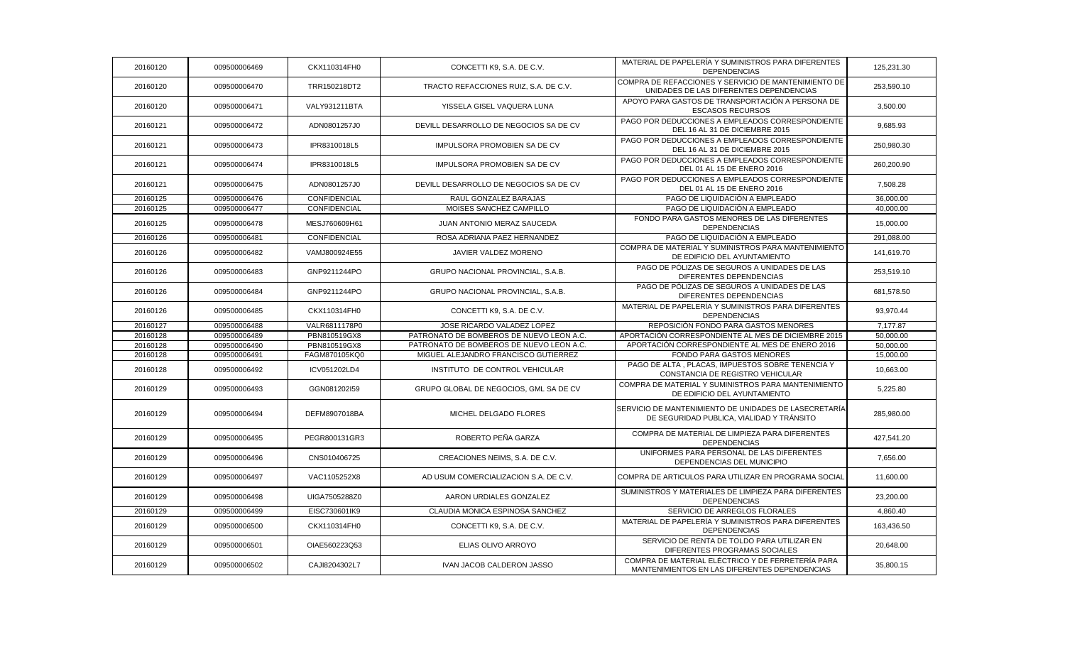| 20160120 | 009500006469 | CKX110314FH0  | CONCETTI K9, S.A. DE C.V.                | MATERIAL DE PAPELERÍA Y SUMINISTROS PARA DIFERENTES<br><b>DEPENDENCIAS</b>                         | 125,231.30 |
|----------|--------------|---------------|------------------------------------------|----------------------------------------------------------------------------------------------------|------------|
| 20160120 | 009500006470 | TRR150218DT2  | TRACTO REFACCIONES RUIZ, S.A. DE C.V.    | COMPRA DE REFACCIONES Y SERVICIO DE MANTENIMIENTO DE<br>UNIDADES DE LAS DIFERENTES DEPENDENCIAS    | 253,590.10 |
| 20160120 | 009500006471 | VALY931211BTA | YISSELA GISEL VAQUERA LUNA               | APOYO PARA GASTOS DE TRANSPORTACIÓN A PERSONA DE<br><b>ESCASOS RECURSOS</b>                        | 3,500.00   |
| 20160121 | 009500006472 | ADN0801257J0  | DEVILL DESARROLLO DE NEGOCIOS SA DE CV   | PAGO POR DEDUCCIONES A EMPLEADOS CORRESPONDIENTE<br>DEL 16 AL 31 DE DICIEMBRE 2015                 | 9,685.93   |
| 20160121 | 009500006473 | IPR8310018L5  | <b>IMPULSORA PROMOBIEN SA DE CV</b>      | PAGO POR DEDUCCIONES A EMPLEADOS CORRESPONDIENTE<br>DEL 16 AL 31 DE DICIEMBRE 2015                 | 250,980.30 |
| 20160121 | 009500006474 | IPR8310018L5  | <b>IMPULSORA PROMOBIEN SA DE CV</b>      | PAGO POR DEDUCCIONES A EMPLEADOS CORRESPONDIENTE<br>DEL 01 AL 15 DE ENERO 2016                     | 260,200.90 |
| 20160121 | 009500006475 | ADN0801257J0  | DEVILL DESARROLLO DE NEGOCIOS SA DE CV   | PAGO POR DEDUCCIONES A EMPLEADOS CORRESPONDIENTE<br>DEL 01 AL 15 DE ENERO 2016                     | 7,508.28   |
| 20160125 | 009500006476 | CONFIDENCIAL  | RAUL GONZALEZ BARAJAS                    | PAGO DE LIQUIDACIÓN A EMPLEADO                                                                     | 36,000.00  |
| 20160125 | 009500006477 | CONFIDENCIAL  | MOISES SANCHEZ CAMPILLO                  | PAGO DE LIQUIDACIÓN A EMPLEADO                                                                     | 40,000.00  |
| 20160125 | 009500006478 | MESJ760609H61 | JUAN ANTONIO MERAZ SAUCEDA               | FONDO PARA GASTOS MENORES DE LAS DIFERENTES<br><b>DEPENDENCIAS</b>                                 | 15,000.00  |
| 20160126 | 009500006481 | CONFIDENCIAL  | ROSA ADRIANA PAEZ HERNANDEZ              | PAGO DE LIQUIDACIÓN A EMPLEADO                                                                     | 291,088.00 |
| 20160126 | 009500006482 | VAMJ800924E55 | JAVIER VALDEZ MORENO                     | COMPRA DE MATERIAL Y SUMINISTROS PARA MANTENIMIENTO<br>DE EDIFICIO DEL AYUNTAMIENTO                | 141,619.70 |
| 20160126 | 009500006483 | GNP9211244PO  | GRUPO NACIONAL PROVINCIAL, S.A.B.        | PAGO DE PÓLIZAS DE SEGUROS A UNIDADES DE LAS<br>DIFERENTES DEPENDENCIAS                            | 253,519.10 |
| 20160126 | 009500006484 | GNP9211244PO  | <b>GRUPO NACIONAL PROVINCIAL, S.A.B.</b> | PAGO DE PÓLIZAS DE SEGUROS A UNIDADES DE LAS<br>DIFERENTES DEPENDENCIAS                            | 681,578.50 |
| 20160126 | 009500006485 | CKX110314FH0  | CONCETTI K9, S.A. DE C.V.                | MATERIAL DE PAPELERÍA Y SUMINISTROS PARA DIFERENTES<br><b>DEPENDENCIAS</b>                         | 93,970.44  |
| 20160127 | 009500006488 | VALR6811178P0 | JOSE RICARDO VALADEZ LOPEZ               | REPOSICIÓN FONDO PARA GASTOS MENORES                                                               | 7,177.87   |
| 20160128 | 009500006489 | PBN810519GX8  | PATRONATO DE BOMBEROS DE NUEVO LEON A.C. | APORTACIÓN CORRESPONDIENTE AL MES DE DICIEMBRE 2015                                                | 50,000.00  |
| 20160128 | 009500006490 | PBN810519GX8  | PATRONATO DE BOMBEROS DE NUEVO LEON A.C. | APORTACIÓN CORRESPONDIENTE AL MES DE ENERO 2016                                                    | 50,000.00  |
| 20160128 | 009500006491 | FAGM870105KQ0 | MIGUEL ALEJANDRO FRANCISCO GUTIERREZ     | FONDO PARA GASTOS MENORES                                                                          | 15,000.00  |
| 20160128 | 009500006492 | ICV051202LD4  | INSTITUTO DE CONTROL VEHICULAR           | PAGO DE ALTA, PLACAS, IMPUESTOS SOBRE TENENCIA Y<br>CONSTANCIA DE REGISTRO VEHICULAR               | 10,663.00  |
| 20160129 | 009500006493 | GGN081202I59  | GRUPO GLOBAL DE NEGOCIOS, GML SA DE CV   | COMPRA DE MATERIAL Y SUMINISTROS PARA MANTENIMIENTO<br>DE EDIFICIO DEL AYUNTAMIENTO                | 5,225.80   |
| 20160129 | 009500006494 | DEFM8907018BA | MICHEL DELGADO FLORES                    | SERVICIO DE MANTENIMIENTO DE UNIDADES DE LASECRETARÍA<br>DE SEGURIDAD PUBLICA. VIALIDAD Y TRÁNSITO | 285,980.00 |
| 20160129 | 009500006495 | PEGR800131GR3 | ROBERTO PEÑA GARZA                       | COMPRA DE MATERIAL DE LIMPIEZA PARA DIFERENTES<br><b>DEPENDENCIAS</b>                              | 427,541.20 |
| 20160129 | 009500006496 | CNS010406725  | CREACIONES NEIMS, S.A. DE C.V.           | UNIFORMES PARA PERSONAL DE LAS DIFERENTES<br>DEPENDENCIAS DEL MUNICIPIO                            | 7,656.00   |
| 20160129 | 009500006497 | VAC1105252X8  | AD USUM COMERCIALIZACION S.A. DE C.V.    | COMPRA DE ARTICULOS PARA UTILIZAR EN PROGRAMA SOCIAL                                               | 11,600.00  |
| 20160129 | 009500006498 | UIGA7505288Z0 | AARON URDIALES GONZALEZ                  | SUMINISTROS Y MATERIALES DE LIMPIEZA PARA DIFERENTES<br><b>DEPENDENCIAS</b>                        | 23,200.00  |
| 20160129 | 009500006499 | EISC730601IK9 | CLAUDIA MONICA ESPINOSA SANCHEZ          | SERVICIO DE ARREGLOS FLORALES                                                                      | 4,860.40   |
| 20160129 | 009500006500 | CKX110314FH0  | CONCETTI K9, S.A. DE C.V.                | MATERIAL DE PAPELERÍA Y SUMINISTROS PARA DIFERENTES<br><b>DEPENDENCIAS</b>                         | 163,436.50 |
| 20160129 | 009500006501 | OIAE560223Q53 | ELIAS OLIVO ARROYO                       | SERVICIO DE RENTA DE TOLDO PARA UTILIZAR EN<br>DIFERENTES PROGRAMAS SOCIALES                       | 20,648.00  |
| 20160129 | 009500006502 | CAJI8204302L7 | IVAN JACOB CALDERON JASSO                | COMPRA DE MATERIAL ELÉCTRICO Y DE FERRETERÍA PARA<br>MANTENIMIENTOS EN LAS DIFERENTES DEPENDENCIAS | 35,800.15  |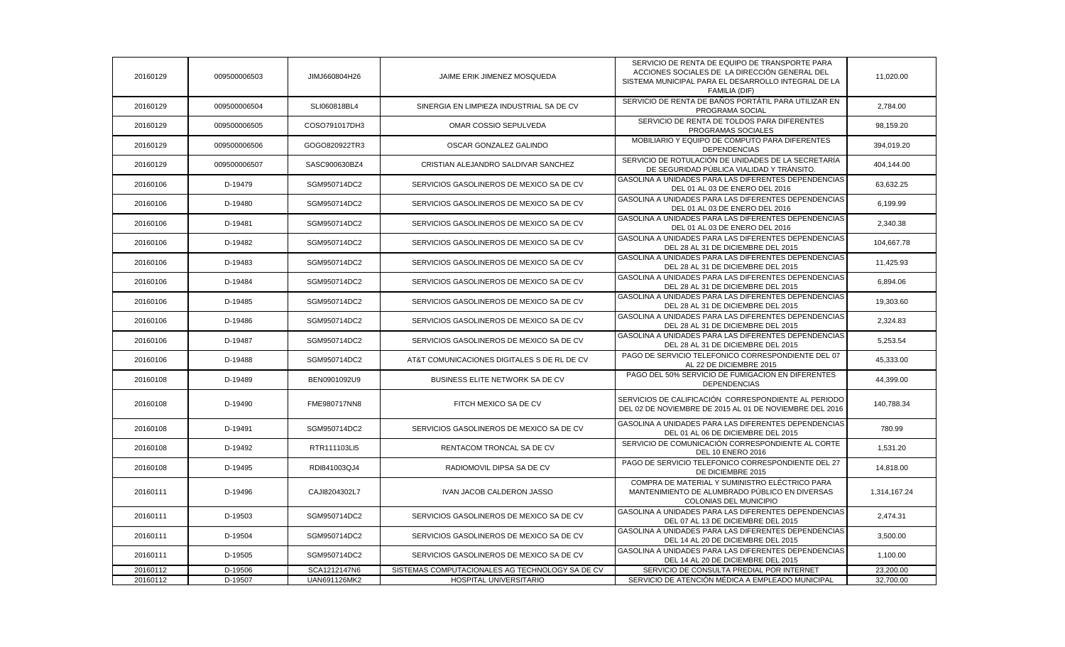| 20160129 | 009500006503 | JIMJ660804H26 | JAIME ERIK JIMENEZ MOSQUEDA                     | SERVICIO DE RENTA DE EQUIPO DE TRANSPORTE PARA<br>ACCIONES SOCIALES DE LA DIRECCIÓN GENERAL DEL<br>SISTEMA MUNICIPAL PARA EL DESARROLLO INTEGRAL DE LA<br>FAMILIA (DIF) | 11,020.00    |
|----------|--------------|---------------|-------------------------------------------------|-------------------------------------------------------------------------------------------------------------------------------------------------------------------------|--------------|
| 20160129 | 009500006504 | SLI060818BL4  | SINERGIA EN LIMPIEZA INDUSTRIAL SA DE CV        | SERVICIO DE RENTA DE BAÑOS PORTÁTIL PARA UTILIZAR EN<br>PROGRAMA SOCIAL                                                                                                 | 2,784.00     |
| 20160129 | 009500006505 | COSO791017DH3 | OMAR COSSIO SEPULVEDA                           | SERVICIO DE RENTA DE TOLDOS PARA DIFERENTES<br>PROGRAMAS SOCIALES                                                                                                       | 98,159.20    |
| 20160129 | 009500006506 | GOGO820922TR3 | OSCAR GONZALEZ GALINDO                          | MOBILIARIO Y EQUIPO DE COMPUTO PARA DIFERENTES<br><b>DEPENDENCIAS</b>                                                                                                   | 394,019.20   |
| 20160129 | 009500006507 | SASC900630BZ4 | CRISTIAN ALEJANDRO SALDIVAR SANCHEZ             | SERVICIO DE ROTULACIÓN DE UNIDADES DE LA SECRETARÍA<br>DE SEGURIDAD PÚBLICA VIALIDAD Y TRÁNSITO.                                                                        | 404,144.00   |
| 20160106 | D-19479      | SGM950714DC2  | SERVICIOS GASOLINEROS DE MEXICO SA DE CV        | GASOLINA A UNIDADES PARA LAS DIFERENTES DEPENDENCIAS<br>DEL 01 AL 03 DE ENERO DEL 2016                                                                                  | 63,632.25    |
| 20160106 | D-19480      | SGM950714DC2  | SERVICIOS GASOLINEROS DE MEXICO SA DE CV        | GASOLINA A UNIDADES PARA LAS DIFERENTES DEPENDENCIAS<br>DEL 01 AL 03 DE ENERO DEL 2016                                                                                  | 6,199.99     |
| 20160106 | D-19481      | SGM950714DC2  | SERVICIOS GASOLINEROS DE MEXICO SA DE CV        | GASOLINA A UNIDADES PARA LAS DIFERENTES DEPENDENCIAS<br>DEL 01 AL 03 DE ENERO DEL 2016                                                                                  | 2,340.38     |
| 20160106 | D-19482      | SGM950714DC2  | SERVICIOS GASOLINEROS DE MEXICO SA DE CV        | GASOLINA A UNIDADES PARA LAS DIFERENTES DEPENDENCIAS<br>DEL 28 AL 31 DE DICIEMBRE DEL 2015                                                                              | 104,667.78   |
| 20160106 | D-19483      | SGM950714DC2  | SERVICIOS GASOLINEROS DE MEXICO SA DE CV        | GASOLINA A UNIDADES PARA LAS DIFERENTES DEPENDENCIAS<br>DEL 28 AL 31 DE DICIEMBRE DEL 2015                                                                              | 11,425.93    |
| 20160106 | D-19484      | SGM950714DC2  | SERVICIOS GASOLINEROS DE MEXICO SA DE CV        | GASOLINA A UNIDADES PARA LAS DIFERENTES DEPENDENCIAS<br>DEL 28 AL 31 DE DICIEMBRE DEL 2015                                                                              | 6,894.06     |
| 20160106 | D-19485      | SGM950714DC2  | SERVICIOS GASOLINEROS DE MEXICO SA DE CV        | GASOLINA A UNIDADES PARA LAS DIFERENTES DEPENDENCIAS<br>DEL 28 AL 31 DE DICIEMBRE DEL 2015                                                                              | 19,303.60    |
| 20160106 | D-19486      | SGM950714DC2  | SERVICIOS GASOLINEROS DE MEXICO SA DE CV        | GASOLINA A UNIDADES PARA LAS DIFERENTES DEPENDENCIAS<br>DEL 28 AL 31 DE DICIEMBRE DEL 2015                                                                              | 2,324.83     |
| 20160106 | D-19487      | SGM950714DC2  | SERVICIOS GASOLINEROS DE MEXICO SA DE CV        | GASOLINA A UNIDADES PARA LAS DIFERENTES DEPENDENCIAS<br>DEL 28 AL 31 DE DICIEMBRE DEL 2015                                                                              | 5,253.54     |
| 20160106 | D-19488      | SGM950714DC2  | AT&T COMUNICACIONES DIGITALES S DE RL DE CV     | PAGO DE SERVICIO TELEFONICO CORRESPONDIENTE DEL 07<br>AL 22 DE DICIEMBRE 2015                                                                                           | 45,333.00    |
| 20160108 | D-19489      | BEN0901092U9  | BUSINESS ELITE NETWORK SA DE CV                 | PAGO DEL 50% SERVICIO DE FUMIGACION EN DIFERENTES<br><b>DEPENDENCIAS</b>                                                                                                | 44,399.00    |
| 20160108 | D-19490      | FME980717NN8  | FITCH MEXICO SA DE CV                           | SERVICIOS DE CALIFICACIÓN CORRESPONDIENTE AL PERIODO<br>DEL 02 DE NOVIEMBRE DE 2015 AL 01 DE NOVIEMBRE DEL 2016                                                         | 140,788.34   |
| 20160108 | D-19491      | SGM950714DC2  | SERVICIOS GASOLINEROS DE MEXICO SA DE CV        | GASOLINA A UNIDADES PARA LAS DIFERENTES DEPENDENCIAS<br>DEL 01 AL 06 DE DICIEMBRE DEL 2015                                                                              | 780.99       |
| 20160108 | D-19492      | RTR111103LI5  | RENTACOM TRONCAL SA DE CV                       | SERVICIO DE COMUNICACIÓN CORRESPONDIENTE AL CORTE<br><b>DEL 10 ENERO 2016</b>                                                                                           | 1,531.20     |
| 20160108 | D-19495      | RDI841003QJ4  | RADIOMOVIL DIPSA SA DE CV                       | PAGO DE SERVICIO TELEFONICO CORRESPONDIENTE DEL 27<br>DE DICIEMBRE 2015                                                                                                 | 14,818.00    |
| 20160111 | D-19496      | CAJI8204302L7 | IVAN JACOB CALDERON JASSO                       | COMPRA DE MATERIAL Y SUMINISTRO ELÉCTRICO PARA<br>MANTENIMIENTO DE ALUMBRADO PÚBLICO EN DIVERSAS<br>COLONIAS DEL MUNICIPIO                                              | 1,314,167.24 |
| 20160111 | D-19503      | SGM950714DC2  | SERVICIOS GASOLINEROS DE MEXICO SA DE CV        | GASOLINA A UNIDADES PARA LAS DIFERENTES DEPENDENCIAS<br>DEL 07 AL 13 DE DICIEMBRE DEL 2015                                                                              | 2,474.31     |
| 20160111 | D-19504      | SGM950714DC2  | SERVICIOS GASOLINEROS DE MEXICO SA DE CV        | GASOLINA A UNIDADES PARA LAS DIFERENTES DEPENDENCIAS<br>DEL 14 AL 20 DE DICIEMBRE DEL 2015                                                                              | 3,500.00     |
| 20160111 | D-19505      | SGM950714DC2  | SERVICIOS GASOLINEROS DE MEXICO SA DE CV        | GASOLINA A UNIDADES PARA LAS DIFERENTES DEPENDENCIAS<br>DEL 14 AL 20 DE DICIEMBRE DEL 2015                                                                              | 1,100.00     |
| 20160112 | D-19506      | SCA1212147N6  | SISTEMAS COMPUTACIONALES AG TECHNOLOGY SA DE CV | SERVICIO DE CONSULTA PREDIAL POR INTERNET                                                                                                                               | 23,200.00    |
| 20160112 | D-19507      | UAN691126MK2  | HOSPITAL UNIVERSITARIO                          | SERVICIO DE ATENCIÓN MÉDICA A EMPLEADO MUNICIPAL                                                                                                                        | 32,700.00    |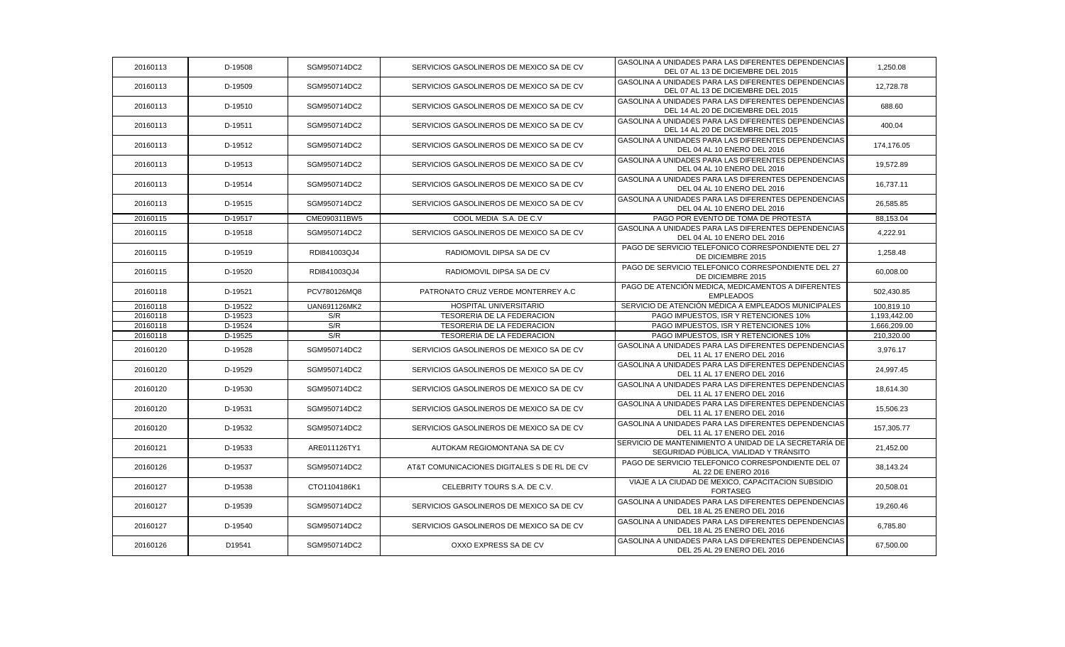| 20160113 | D-19508 | SGM950714DC2 | SERVICIOS GASOLINEROS DE MEXICO SA DE CV    | GASOLINA A UNIDADES PARA LAS DIFERENTES DEPENDENCIAS<br>DEL 07 AL 13 DE DICIEMBRE DEL 2015       | 1,250.08     |
|----------|---------|--------------|---------------------------------------------|--------------------------------------------------------------------------------------------------|--------------|
| 20160113 | D-19509 | SGM950714DC2 | SERVICIOS GASOLINEROS DE MEXICO SA DE CV    | GASOLINA A UNIDADES PARA LAS DIFERENTES DEPENDENCIAS<br>DEL 07 AL 13 DE DICIEMBRE DEL 2015       | 12,728.78    |
| 20160113 | D-19510 | SGM950714DC2 | SERVICIOS GASOLINEROS DE MEXICO SA DE CV    | GASOLINA A UNIDADES PARA LAS DIFERENTES DEPENDENCIAS<br>DEL 14 AL 20 DE DICIEMBRE DEL 2015       | 688.60       |
| 20160113 | D-19511 | SGM950714DC2 | SERVICIOS GASOLINEROS DE MEXICO SA DE CV    | GASOLINA A UNIDADES PARA LAS DIFERENTES DEPENDENCIAS<br>DEL 14 AL 20 DE DICIEMBRE DEL 2015       | 400.04       |
| 20160113 | D-19512 | SGM950714DC2 | SERVICIOS GASOLINEROS DE MEXICO SA DE CV    | GASOLINA A UNIDADES PARA LAS DIFERENTES DEPENDENCIAS<br>DEL 04 AL 10 ENERO DEL 2016              | 174,176.05   |
| 20160113 | D-19513 | SGM950714DC2 | SERVICIOS GASOLINEROS DE MEXICO SA DE CV    | GASOLINA A UNIDADES PARA LAS DIFERENTES DEPENDENCIAS<br>DEL 04 AL 10 ENERO DEL 2016              | 19,572.89    |
| 20160113 | D-19514 | SGM950714DC2 | SERVICIOS GASOLINEROS DE MEXICO SA DE CV    | GASOLINA A UNIDADES PARA LAS DIFERENTES DEPENDENCIAS<br>DEL 04 AL 10 ENERO DEL 2016              | 16,737.11    |
| 20160113 | D-19515 | SGM950714DC2 | SERVICIOS GASOLINEROS DE MEXICO SA DE CV    | GASOLINA A UNIDADES PARA LAS DIFERENTES DEPENDENCIAS<br>DEL 04 AL 10 ENERO DEL 2016              | 26,585.85    |
| 20160115 | D-19517 | CME090311BW5 | COOL MEDIA S.A. DE C.V                      | PAGO POR EVENTO DE TOMA DE PROTESTA                                                              | 88,153.04    |
| 20160115 | D-19518 | SGM950714DC2 | SERVICIOS GASOLINEROS DE MEXICO SA DE CV    | GASOLINA A UNIDADES PARA LAS DIFERENTES DEPENDENCIAS<br>DEL 04 AL 10 ENERO DEL 2016              | 4,222.91     |
| 20160115 | D-19519 | RDI841003QJ4 | RADIOMOVIL DIPSA SA DE CV                   | PAGO DE SERVICIO TELEFONICO CORRESPONDIENTE DEL 27<br>DE DICIEMBRE 2015                          | 1,258.48     |
| 20160115 | D-19520 | RDI841003QJ4 | RADIOMOVIL DIPSA SA DE CV                   | PAGO DE SERVICIO TELEFONICO CORRESPONDIENTE DEL 27<br>DE DICIEMBRE 2015                          | 60,008.00    |
| 20160118 | D-19521 | PCV780126MQ8 | PATRONATO CRUZ VERDE MONTERREY A.C          | PAGO DE ATENCIÓN MEDICA, MEDICAMENTOS A DIFERENTES<br><b>EMPLEADOS</b>                           | 502,430.85   |
| 20160118 | D-19522 | UAN691126MK2 | <b>HOSPITAL UNIVERSITARIO</b>               | SERVICIO DE ATENCIÓN MÉDICA A EMPLEADOS MUNICIPALES                                              | 100,819.10   |
| 20160118 | D-19523 | S/R          | TESORERIA DE LA FEDERACION                  | PAGO IMPUESTOS, ISR Y RETENCIONES 10%                                                            | 1,193,442.00 |
| 20160118 | D-19524 | S/R          | TESORERIA DE LA FEDERACION                  | PAGO IMPUESTOS, ISR Y RETENCIONES 10%                                                            | 1,666,209.00 |
| 20160118 | D-19525 | S/R          | TESORERIA DE LA FEDERACION                  | PAGO IMPUESTOS, ISR Y RETENCIONES 10%                                                            | 210,320.00   |
| 20160120 | D-19528 | SGM950714DC2 | SERVICIOS GASOLINEROS DE MEXICO SA DE CV    | GASOLINA A UNIDADES PARA LAS DIFERENTES DEPENDENCIAS<br>DEL 11 AL 17 ENERO DEL 2016              | 3,976.17     |
| 20160120 | D-19529 | SGM950714DC2 | SERVICIOS GASOLINEROS DE MEXICO SA DE CV    | GASOLINA A UNIDADES PARA LAS DIFERENTES DEPENDENCIAS<br>DEL 11 AL 17 ENERO DEL 2016              | 24,997.45    |
| 20160120 | D-19530 | SGM950714DC2 | SERVICIOS GASOLINEROS DE MEXICO SA DE CV    | GASOLINA A UNIDADES PARA LAS DIFERENTES DEPENDENCIAS<br>DEL 11 AL 17 ENERO DEL 2016              | 18,614.30    |
| 20160120 | D-19531 | SGM950714DC2 | SERVICIOS GASOLINEROS DE MEXICO SA DE CV    | GASOLINA A UNIDADES PARA LAS DIFERENTES DEPENDENCIAS<br>DEL 11 AL 17 ENERO DEL 2016              | 15,506.23    |
| 20160120 | D-19532 | SGM950714DC2 | SERVICIOS GASOLINEROS DE MEXICO SA DE CV    | GASOLINA A UNIDADES PARA LAS DIFERENTES DEPENDENCIAS<br>DEL 11 AL 17 ENERO DEL 2016              | 157,305.77   |
| 20160121 | D-19533 | ARE011126TY1 | AUTOKAM REGIOMONTANA SA DE CV               | SERVICIO DE MANTENIMIENTO A UNIDAD DE LA SECRETARÍA DE<br>SEGURIDAD PÚBLICA, VIALIDAD Y TRÁNSITO | 21,452.00    |
| 20160126 | D-19537 | SGM950714DC2 | AT&T COMUNICACIONES DIGITALES S DE RL DE CV | PAGO DE SERVICIO TELEFONICO CORRESPONDIENTE DEL 07<br>AL 22 DE ENERO 2016                        | 38,143.24    |
| 20160127 | D-19538 | CTO1104186K1 | CELEBRITY TOURS S.A. DE C.V.                | VIAJE A LA CIUDAD DE MEXICO, CAPACITACION SUBSIDIO<br><b>FORTASEG</b>                            | 20,508.01    |
| 20160127 | D-19539 | SGM950714DC2 | SERVICIOS GASOLINEROS DE MEXICO SA DE CV    | GASOLINA A UNIDADES PARA LAS DIFERENTES DEPENDENCIAS<br>DEL 18 AL 25 ENERO DEL 2016              | 19,260.46    |
| 20160127 | D-19540 | SGM950714DC2 | SERVICIOS GASOLINEROS DE MEXICO SA DE CV    | GASOLINA A UNIDADES PARA LAS DIFERENTES DEPENDENCIAS<br>DEL 18 AL 25 ENERO DEL 2016              | 6,785.80     |
| 20160126 | D19541  | SGM950714DC2 | OXXO EXPRESS SA DE CV                       | GASOLINA A UNIDADES PARA LAS DIFERENTES DEPENDENCIAS<br>DEL 25 AL 29 ENERO DEL 2016              | 67,500.00    |